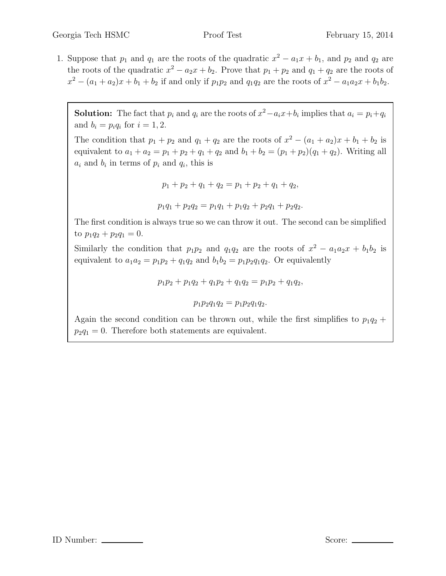1. Suppose that  $p_1$  and  $q_1$  are the roots of the quadratic  $x^2 - a_1x + b_1$ , and  $p_2$  and  $q_2$  are the roots of the quadratic  $x^2 - a_2x + b_2$ . Prove that  $p_1 + p_2$  and  $q_1 + q_2$  are the roots of  $x^2 - (a_1 + a_2)x + b_1 + b_2$  if and only if  $p_1p_2$  and  $q_1q_2$  are the roots of  $x^2 - a_1a_2x + b_1b_2$ .

**Solution:** The fact that  $p_i$  and  $q_i$  are the roots of  $x^2 - a_i x + b_i$  implies that  $a_i = p_i + q_i$ and  $b_i = p_i q_i$  for  $i = 1, 2$ .

The condition that  $p_1 + p_2$  and  $q_1 + q_2$  are the roots of  $x^2 - (a_1 + a_2)x + b_1 + b_2$  is equivalent to  $a_1 + a_2 = p_1 + p_2 + q_1 + q_2$  and  $b_1 + b_2 = (p_1 + p_2)(q_1 + q_2)$ . Writing all  $a_i$  and  $b_i$  in terms of  $p_i$  and  $q_i$ , this is

$$
p_1 + p_2 + q_1 + q_2 = p_1 + p_2 + q_1 + q_2,
$$
  

$$
p_1q_1 + p_2q_2 = p_1q_1 + p_1q_2 + p_2q_1 + p_2q_2.
$$

The first condition is always true so we can throw it out. The second can be simplified to  $p_1q_2 + p_2q_1 = 0$ .

Similarly the condition that  $p_1p_2$  and  $q_1q_2$  are the roots of  $x^2 - a_1a_2x + b_1b_2$  is equivalent to  $a_1a_2 = p_1p_2 + q_1q_2$  and  $b_1b_2 = p_1p_2q_1q_2$ . Or equivalently

 $p_1p_2 + p_1q_2 + q_1p_2 + q_1q_2 = p_1p_2 + q_1q_2,$ 

 $p_1p_2q_1q_2 = p_1p_2q_1q_2.$ 

Again the second condition can be thrown out, while the first simplifies to  $p_1q_2$  +  $p_2q_1 = 0$ . Therefore both statements are equivalent.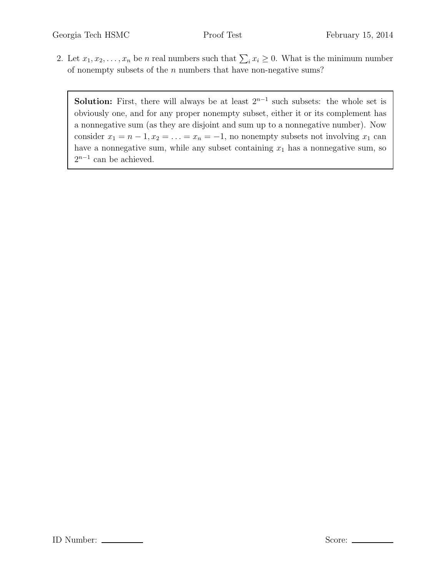2. Let  $x_1, x_2, \ldots, x_n$  be n real numbers such that  $\sum_i x_i \geq 0$ . What is the minimum number of nonempty subsets of the  $n$  numbers that have non-negative sums?

**Solution:** First, there will always be at least  $2^{n-1}$  such subsets: the whole set is obviously one, and for any proper nonempty subset, either it or its complement has a nonnegative sum (as they are disjoint and sum up to a nonnegative number). Now consider  $x_1 = n - 1, x_2 = \ldots = x_n = -1$ , no nonempty subsets not involving  $x_1$  can have a nonnegative sum, while any subset containing  $x_1$  has a nonnegative sum, so  $2^{n-1}$  can be achieved.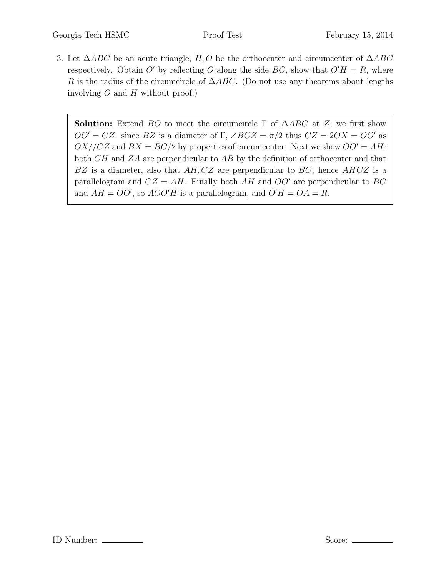3. Let  $\triangle ABC$  be an acute triangle, H, O be the orthocenter and circumcenter of  $\triangle ABC$ respectively. Obtain O' by reflecting O along the side BC, show that  $O'H = R$ , where R is the radius of the circumcircle of  $\triangle ABC$ . (Do not use any theorems about lengths involving  $O$  and  $H$  without proof.)

**Solution:** Extend BO to meet the circumcircle  $\Gamma$  of  $\triangle ABC$  at Z, we first show  $OO' = CZ$ : since BZ is a diameter of Γ,  $\angle BCZ = \pi/2$  thus  $CZ = 2OX = OO'$  as  $OX//CZ$  and  $BX = BC/2$  by properties of circumcenter. Next we show  $OO' = AH$ : both CH and ZA are perpendicular to AB by the definition of orthocenter and that  $BZ$  is a diameter, also that  $AH, CZ$  are perpendicular to  $BC$ , hence  $AHCZ$  is a parallelogram and  $CZ = AH$ . Finally both AH and  $OO'$  are perpendicular to BC and  $AH = OO'$ , so  $AOO'H$  is a parallelogram, and  $O'H = OA = R$ .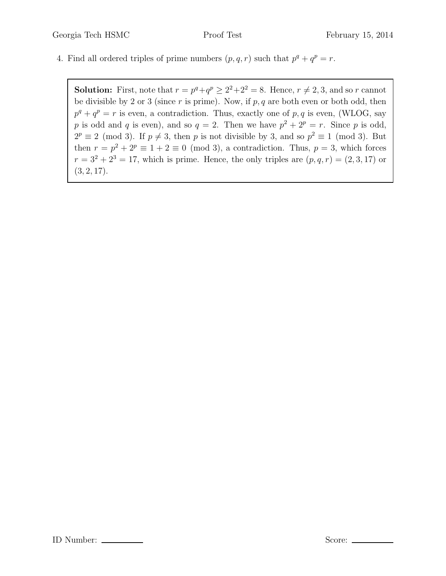4. Find all ordered triples of prime numbers  $(p, q, r)$  such that  $p^q + q^p = r$ .

**Solution:** First, note that  $r = p^q + q^p \ge 2^2 + 2^2 = 8$ . Hence,  $r \ne 2, 3$ , and so r cannot be divisible by 2 or 3 (since  $r$  is prime). Now, if  $p, q$  are both even or both odd, then  $p^q + q^p = r$  is even, a contradiction. Thus, exactly one of p, q is even, (WLOG, say p is odd and q is even), and so  $q = 2$ . Then we have  $p^2 + 2^p = r$ . Since p is odd,  $2^p \equiv 2 \pmod{3}$ . If  $p \neq 3$ , then p is not divisible by 3, and so  $p^2 \equiv 1 \pmod{3}$ . But then  $r = p^2 + 2^p \equiv 1 + 2 \equiv 0 \pmod{3}$ , a contradiction. Thus,  $p = 3$ , which forces  $r = 3^2 + 2^3 = 17$ , which is prime. Hence, the only triples are  $(p, q, r) = (2, 3, 17)$  or  $(3, 2, 17).$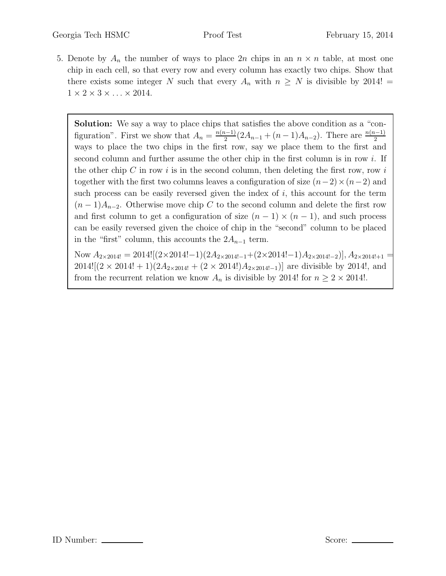5. Denote by  $A_n$  the number of ways to place  $2n$  chips in an  $n \times n$  table, at most one chip in each cell, so that every row and every column has exactly two chips. Show that there exists some integer N such that every  $A_n$  with  $n \geq N$  is divisible by 2014!  $1 \times 2 \times 3 \times \ldots \times 2014$ .

Solution: We say a way to place chips that satisfies the above condition as a "configuration". First we show that  $A_n = \frac{n(n-1)}{2}$  $\frac{n-1}{2}(2A_{n-1}+(n-1)A_{n-2})$ . There are  $\frac{n(n-1)}{2}$ ways to place the two chips in the first row, say we place them to the first and second column and further assume the other chip in the first column is in row i. If the other chip  $C$  in row  $i$  is in the second column, then deleting the first row, row  $i$ together with the first two columns leaves a configuration of size  $(n-2) \times (n-2)$  and such process can be easily reversed given the index of  $i$ , this account for the term  $(n-1)A_{n-2}$ . Otherwise move chip C to the second column and delete the first row and first column to get a configuration of size  $(n-1) \times (n-1)$ , and such process can be easily reversed given the choice of chip in the "second" column to be placed in the "first" column, this accounts the  $2A_{n-1}$  term.

Now  $A_{2\times 2014!} = 2014![(2\times2014! - 1)(2A_{2\times2014! - 1} + (2\times2014! - 1)A_{2\times2014! - 2})], A_{2\times2014! + 1}$  $2014![(2 \times 2014! + 1)(2A_{2 \times 2014!} + (2 \times 2014!)A_{2 \times 2014!-1})]$  are divisible by 2014!, and from the recurrent relation we know  $A_n$  is divisible by 2014! for  $n \geq 2 \times 2014!$ .